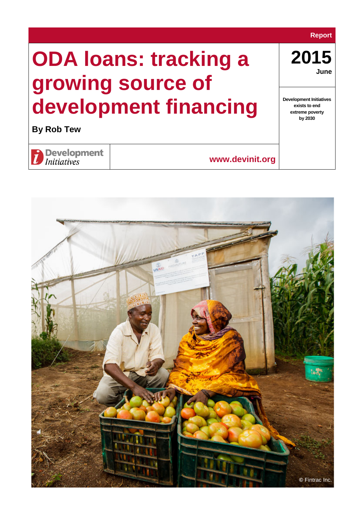### **Report**

**2015 June**

**Development Initiatives exists to end extreme poverty by 2030**

# **ODA loans: tracking a growing source of development financing**

**By Rob Tew**



**www.devinit.org**

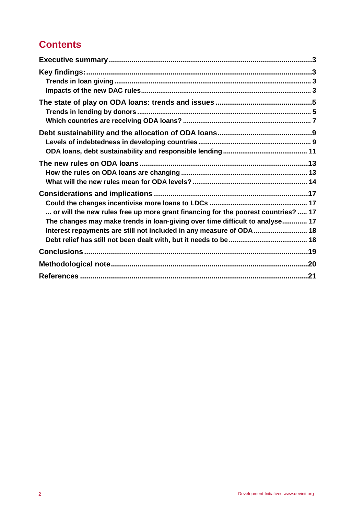# **Contents**

| or will the new rules free up more grant financing for the poorest countries?  17<br>The changes may make trends in loan-giving over time difficult to analyse 17<br>Interest repayments are still not included in any measure of ODA 18 |
|------------------------------------------------------------------------------------------------------------------------------------------------------------------------------------------------------------------------------------------|
|                                                                                                                                                                                                                                          |
|                                                                                                                                                                                                                                          |
|                                                                                                                                                                                                                                          |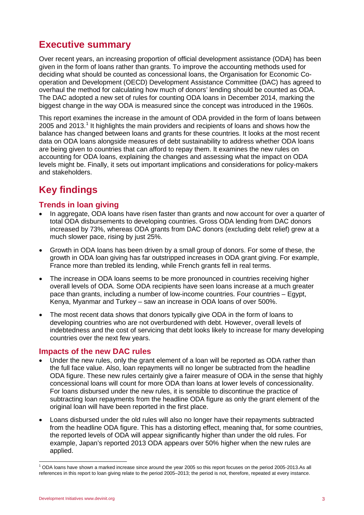# <span id="page-2-0"></span>**Executive summary**

Over recent years, an increasing proportion of official development assistance (ODA) has been given in the form of loans rather than grants. To improve the accounting methods used for deciding what should be counted as concessional loans, the Organisation for Economic Cooperation and Development (OECD) Development Assistance Committee (DAC) has agreed to overhaul the method for calculating how much of donors' lending should be counted as ODA. The DAC adopted a new set of rules for counting ODA loans in December 2014, marking the biggest change in the way ODA is measured since the concept was introduced in the 1960s.

This report examines the increase in the amount of ODA provided in the form of loans between 2005 and 20[1](#page-2-4)3.<sup>1</sup> It highlights the main providers and recipients of loans and shows how the balance has changed between loans and grants for these countries. It looks at the most recent data on ODA loans alongside measures of debt sustainability to address whether ODA loans are being given to countries that can afford to repay them. It examines the new rules on accounting for ODA loans, explaining the changes and assessing what the impact on ODA levels might be. Finally, it sets out important implications and considerations for policy-makers and stakeholders.

# <span id="page-2-1"></span>**Key findings**

# <span id="page-2-2"></span>**Trends in loan giving**

- In aggregate, ODA loans have risen faster than grants and now account for over a quarter of total ODA disbursements to developing countries. Gross ODA lending from DAC donors increased by 73%, whereas ODA grants from DAC donors (excluding debt relief) grew at a much slower pace, rising by just 25%.
- Growth in ODA loans has been driven by a small group of donors. For some of these, the growth in ODA loan giving has far outstripped increases in ODA grant giving. For example, France more than trebled its lending, while French grants fell in real terms.
- The increase in ODA loans seems to be more pronounced in countries receiving higher overall levels of ODA. Some ODA recipients have seen loans increase at a much greater pace than grants, including a number of low-income countries. Four countries – Egypt, Kenya, Myanmar and Turkey – saw an increase in ODA loans of over 500%.
- The most recent data shows that donors typically give ODA in the form of loans to developing countries who are not overburdened with debt. However, overall levels of indebtedness and the cost of servicing that debt looks likely to increase for many developing countries over the next few years.

# <span id="page-2-3"></span>**Impacts of the new DAC rules**

- Under the new rules, only the grant element of a loan will be reported as ODA rather than the full face value. Also, loan repayments will no longer be subtracted from the headline ODA figure. These new rules certainly give a fairer measure of ODA in the sense that highly concessional loans will count for more ODA than loans at lower levels of concessionality. For loans disbursed under the new rules, it is sensible to discontinue the practice of subtracting loan repayments from the headline ODA figure as only the grant element of the original loan will have been reported in the first place.
- Loans disbursed under the old rules will also no longer have their repayments subtracted from the headline ODA figure. This has a distorting effect, meaning that, for some countries, the reported levels of ODA will appear significantly higher than under the old rules. For example, Japan's reported 2013 ODA appears over 50% higher when the new rules are applied.

<span id="page-2-4"></span> $1$  ODA loans have shown a marked increase since around the year 2005 so this report focuses on the period 2005-2013.As all references in this report to loan giving relate to the period 2005–2013; the period is not, therefore, repeated at every instance.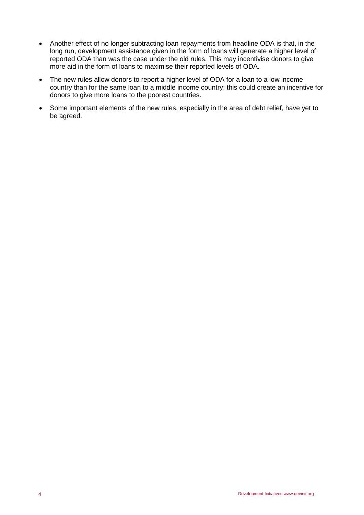- Another effect of no longer subtracting loan repayments from headline ODA is that, in the long run, development assistance given in the form of loans will generate a higher level of reported ODA than was the case under the old rules. This may incentivise donors to give more aid in the form of loans to maximise their reported levels of ODA.
- The new rules allow donors to report a higher level of ODA for a loan to a low income country than for the same loan to a middle income country; this could create an incentive for donors to give more loans to the poorest countries.
- Some important elements of the new rules, especially in the area of debt relief, have yet to be agreed.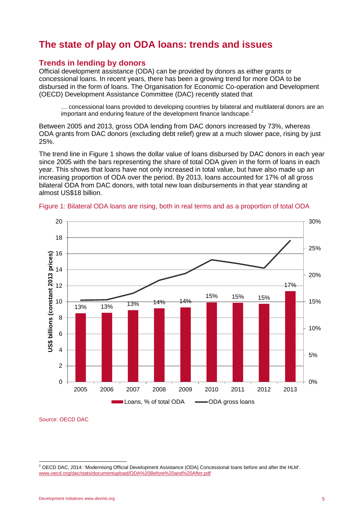# <span id="page-4-0"></span>**The state of play on ODA loans: trends and issues**

## <span id="page-4-1"></span>**Trends in lending by donors**

Official development assistance (ODA) can be provided by donors as either grants or concessional loans. In recent years, there has been a growing trend for more ODA to be disbursed in the form of loans. The Organisation for Economic Co-operation and Development (OECD) Development Assistance Committee (DAC) recently stated that

… concessional loans provided to developing countries by bilateral and multilateral donors are an important and enduring feature of the development finance landscape.<sup>[2](#page-4-2)</sup>

Between 2005 and 2013, gross ODA lending from DAC donors increased by 73%, whereas ODA grants from DAC donors (excluding debt relief) grew at a much slower pace, rising by just 25%.

The trend line in Figure 1 shows the dollar value of loans disbursed by DAC donors in each year since 2005 with the bars representing the share of total ODA given in the form of loans in each year. This shows that loans have not only increased in total value, but have also made up an increasing proportion of ODA over the period. By 2013, loans accounted for 17% of all gross bilateral ODA from DAC donors, with total new loan disbursements in that year standing at almost US\$18 billion.





Source: OECD DAC

<span id="page-4-2"></span> $2$ OECD DAC. 2014: 'Modernising Official Development Assistance (ODA) Concessional loans before and after the HLM'. [www.oecd.org/dac/stats/documentupload/ODA%20Before%20and%20After.pdf](http://www.oecd.org/dac/stats/documentupload/ODA%20Before%20and%20After.pdf)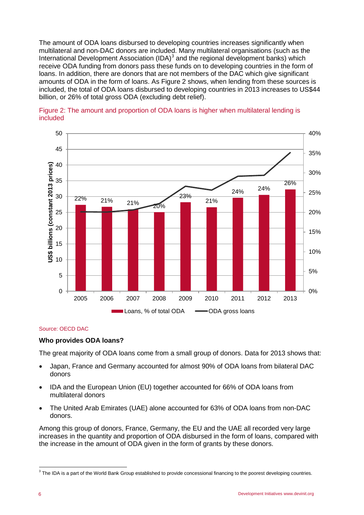The amount of ODA loans disbursed to developing countries increases significantly when multilateral and non-DAC donors are included. Many multilateral organisations (such as the International Development Association  $(IDA)^3$  $(IDA)^3$  and the regional development banks) which receive ODA funding from donors pass these funds on to developing countries in the form of loans. In addition, there are donors that are not members of the DAC which give significant amounts of ODA in the form of loans. As Figure 2 shows, when lending from these sources is included, the total of ODA loans disbursed to developing countries in 2013 increases to US\$44 billion, or 26% of total gross ODA (excluding debt relief).





#### Source: OECD DAC

#### **Who provides ODA loans?**

The great majority of ODA loans come from a small group of donors. Data for 2013 shows that:

- Japan, France and Germany accounted for almost 90% of ODA loans from bilateral DAC donors
- IDA and the European Union (EU) together accounted for 66% of ODA loans from multilateral donors
- The United Arab Emirates (UAE) alone accounted for 63% of ODA loans from non-DAC donors.

Among this group of donors, France, Germany, the EU and the UAE all recorded very large increases in the quantity and proportion of ODA disbursed in the form of loans, compared with the increase in the amount of ODA given in the form of grants by these donors.

<span id="page-5-0"></span><sup>&</sup>lt;sup>3</sup> The IDA is a part of the World Bank Group established to provide concessional financing to the poorest developing countries.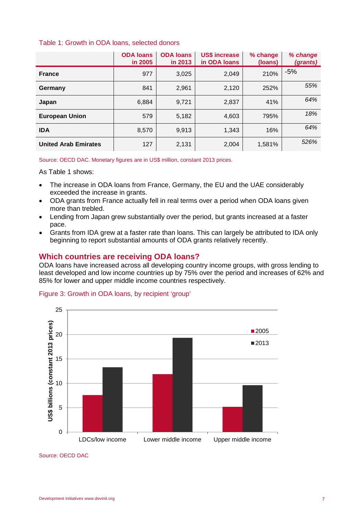### Table 1: Growth in ODA loans, selected donors

|                             | <b>ODA loans</b><br>in 2005 | <b>ODA loans</b><br>in 2013 | <b>US\$ increase</b><br>in ODA loans | % change<br>(loans) | % change<br>(grants) |
|-----------------------------|-----------------------------|-----------------------------|--------------------------------------|---------------------|----------------------|
| <b>France</b>               | 977                         | 3,025                       | 2,049                                | 210%                | $-5%$                |
| Germany                     | 841                         | 2,961                       | 2,120                                | 252%                | 55%                  |
| Japan                       | 6,884                       | 9,721                       | 2,837                                | 41%                 | 64%                  |
| <b>European Union</b>       | 579                         | 5,182                       | 4.603                                | 795%                | 18%                  |
| <b>IDA</b>                  | 8,570                       | 9,913                       | 1,343                                | 16%                 | 64%                  |
| <b>United Arab Emirates</b> | 127                         | 2,131                       | 2,004                                | 1,581%              | 526%                 |

Source: OECD DAC. Monetary figures are in US\$ million, constant 2013 prices.

As Table 1 shows:

- The increase in ODA loans from France, Germany, the EU and the UAE considerably exceeded the increase in grants.
- ODA grants from France actually fell in real terms over a period when ODA loans given more than trebled.
- Lending from Japan grew substantially over the period, but grants increased at a faster pace.
- Grants from IDA grew at a faster rate than loans. This can largely be attributed to IDA only beginning to report substantial amounts of ODA grants relatively recently.

## <span id="page-6-0"></span>**Which countries are receiving ODA loans?**

ODA loans have increased across all developing country income groups, with gross lending to least developed and low income countries up by 75% over the period and increases of 62% and 85% for lower and upper middle income countries respectively.

#### Figure 3: Growth in ODA loans, by recipient 'group'



Source: OECD DAC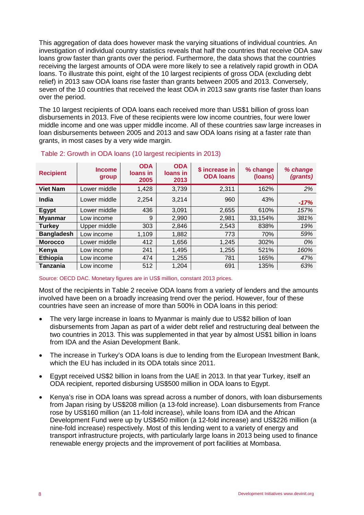This aggregation of data does however mask the varying situations of individual countries. An investigation of individual country statistics reveals that half the countries that receive ODA saw loans grow faster than grants over the period. Furthermore, the data shows that the countries receiving the largest amounts of ODA were more likely to see a relatively rapid growth in ODA loans. To illustrate this point, eight of the 10 largest recipients of gross ODA (excluding debt relief) in 2013 saw ODA loans rise faster than grants between 2005 and 2013. Conversely, seven of the 10 countries that received the least ODA in 2013 saw grants rise faster than loans over the period.

The 10 largest recipients of ODA loans each received more than US\$1 billion of gross loan disbursements in 2013. Five of these recipients were low income countries, four were lower middle income and one was upper middle income. All of these countries saw large increases in loan disbursements between 2005 and 2013 and saw ODA loans rising at a faster rate than grants, in most cases by a very wide margin.

| <b>Recipient</b>  | <b>Income</b><br>group | <b>ODA</b><br>loans in<br>2005 | <b>ODA</b><br>loans in<br>2013 | \$ increase in<br><b>ODA loans</b> | % change<br>(loans) | % change<br>(grants) |
|-------------------|------------------------|--------------------------------|--------------------------------|------------------------------------|---------------------|----------------------|
| <b>Viet Nam</b>   | Lower middle           | 1,428                          | 3,739                          | 2,311                              | 162%                | 2%                   |
| India             | Lower middle           | 2.254                          | 3,214                          | 960                                | 43%                 | $-17%$               |
| Egypt             | Lower middle           | 436                            | 3,091                          | 2,655                              | 610%                | 157%                 |
| <b>Myanmar</b>    | Low income             | 9                              | 2,990                          | 2,981                              | 33,154%             | 381%                 |
| <b>Turkey</b>     | Upper middle           | 303                            | 2,846                          | 2,543                              | 838%                | 19%                  |
| <b>Bangladesh</b> | Low income             | 1,109                          | 1,882                          | 773                                | 70%                 | 59%                  |
| <b>Morocco</b>    | Lower middle           | 412                            | 1,656                          | 1,245                              | 302%                | 0%                   |
| Kenya             | Low income             | 241                            | 1,495                          | 1,255                              | 521%                | 160%                 |
| <b>Ethiopia</b>   | Low income             | 474                            | 1,255                          | 781                                | 165%                | 47%                  |
| Tanzania          | Low income             | 512                            | 1,204                          | 691                                | 135%                | 63%                  |

#### Table 2: Growth in ODA loans (10 largest recipients in 2013)

#### Source: OECD DAC. Monetary figures are in US\$ million, constant 2013 prices.

Most of the recipients in Table 2 receive ODA loans from a variety of lenders and the amounts involved have been on a broadly increasing trend over the period. However, four of these countries have seen an increase of more than 500% in ODA loans in this period:

- The very large increase in loans to Myanmar is mainly due to US\$2 billion of loan disbursements from Japan as part of a wider debt relief and restructuring deal between the two countries in 2013. This was supplemented in that year by almost US\$1 billion in loans from IDA and the Asian Development Bank.
- The increase in Turkey's ODA loans is due to lending from the European Investment Bank, which the EU has included in its ODA totals since 2011.
- Egypt received US\$2 billion in loans from the UAE in 2013. In that year Turkey, itself an ODA recipient, reported disbursing US\$500 million in ODA loans to Egypt.
- Kenya's rise in ODA loans was spread across a number of donors, with loan disbursements from Japan rising by US\$208 million (a 13-fold increase). Loan disbursements from France rose by US\$160 million (an 11-fold increase), while loans from IDA and the African Development Fund were up by US\$450 million (a 12-fold increase) and US\$226 million (a nine-fold increase) respectively. Most of this lending went to a variety of energy and transport infrastructure projects, with particularly large loans in 2013 being used to finance renewable energy projects and the improvement of port facilities at Mombasa.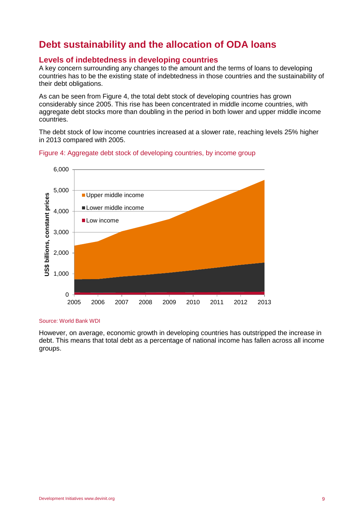# <span id="page-8-0"></span>**Debt sustainability and the allocation of ODA loans**

## <span id="page-8-1"></span>**Levels of indebtedness in developing countries**

A key concern surrounding any changes to the amount and the terms of loans to developing countries has to be the existing state of indebtedness in those countries and the sustainability of their debt obligations.

As can be seen from Figure 4, the total debt stock of developing countries has grown considerably since 2005. This rise has been concentrated in middle income countries, with aggregate debt stocks more than doubling in the period in both lower and upper middle income countries.

The debt stock of low income countries increased at a slower rate, reaching levels 25% higher in 2013 compared with 2005.



#### Figure 4: Aggregate debt stock of developing countries, by income group

#### Source: World Bank WDI

However, on average, economic growth in developing countries has outstripped the increase in debt. This means that total debt as a percentage of national income has fallen across all income groups.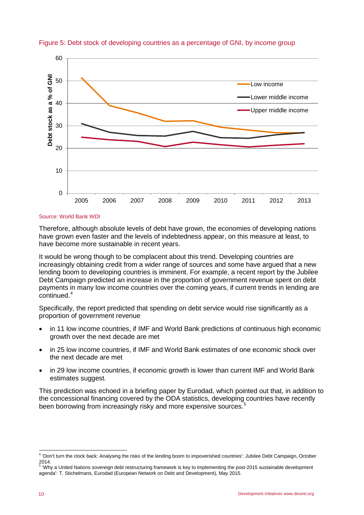

Figure 5: Debt stock of developing countries as a percentage of GNI, by income group

#### Source: World Bank WDI

Therefore, although absolute levels of debt have grown, the economies of developing nations have grown even faster and the levels of indebtedness appear, on this measure at least, to have become more sustainable in recent years.

It would be wrong though to be complacent about this trend. Developing countries are increasingly obtaining credit from a wider range of sources and some have argued that a new lending boom to developing countries is imminent. For example, a recent report by the Jubilee Debt Campaign predicted an increase in the proportion of government revenue spent on debt payments in many low income countries over the coming years, if current trends in lending are continued.<sup>[4](#page-9-0)</sup>

Specifically, the report predicted that spending on debt service would rise significantly as a proportion of government revenue

- in 11 low income countries, if IMF and World Bank predictions of continuous high economic growth over the next decade are met
- in 25 low income countries, if IMF and World Bank estimates of one economic shock over the next decade are met
- in 29 low income countries, if economic growth is lower than current IMF and World Bank estimates suggest.

This prediction was echoed in a briefing paper by Eurodad, which pointed out that, in addition to the concessional financing covered by the ODA statistics, developing countries have recently been borrowing from increasingly risky and more expensive sources.<sup>[5](#page-9-1)</sup>

<span id="page-9-0"></span> <sup>4</sup> 'Don't turn the clock back: Analysing the risks of the lending boom to impoverished countries': Jubilee Debt Campaign, October  $2014.$ 

<span id="page-9-1"></span><sup>5</sup> 'Why a United Nations sovereign debt restructuring framework is key to implementing the post-2015 sustainable development agenda': T. Stichelmans, Eurodad (European Network on Debt and Development), May 2015.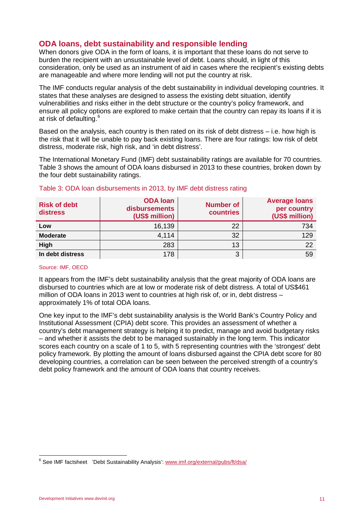# <span id="page-10-0"></span>**ODA loans, debt sustainability and responsible lending**

When donors give ODA in the form of loans, it is important that these loans do not serve to burden the recipient with an unsustainable level of debt. Loans should, in light of this consideration, only be used as an instrument of aid in cases where the recipient's existing debts are manageable and where more lending will not put the country at risk.

The IMF conducts regular analysis of the debt sustainability in individual developing countries. It states that these analyses are designed to assess the existing debt situation, identify vulnerabilities and risks either in the debt structure or the country's policy framework, and ensure all policy options are explored to make certain that the country can repay its loans if it is at risk of defaulting. [6](#page-10-1)

Based on the analysis, each country is then rated on its risk of debt distress – i.e. how high is the risk that it will be unable to pay back existing loans. There are four ratings: low risk of debt distress, moderate risk, high risk, and 'in debt distress'.

The International Monetary Fund (IMF) debt sustainability ratings are available for 70 countries. Table 3 shows the amount of ODA loans disbursed in 2013 to these countries, broken down by the four debt sustainability ratings.

| <b>Risk of debt</b><br>distress | <b>ODA loan</b><br>disbursements<br>(US\$ million) | <b>Number of</b><br>countries | <b>Average loans</b><br>per country<br>(US\$ million) |
|---------------------------------|----------------------------------------------------|-------------------------------|-------------------------------------------------------|
| Low                             | 16,139                                             | 22                            | 734                                                   |
| <b>Moderate</b>                 | 4,114                                              | 32                            | 129                                                   |
| High                            | 283                                                | 13                            | 22                                                    |
| In debt distress                | 178                                                | 3                             | 59                                                    |

#### Table 3: ODA loan disbursements in 2013, by IMF debt distress rating

#### Source: IMF, OECD

It appears from the IMF's debt sustainability analysis that the great majority of ODA loans are disbursed to countries which are at low or moderate risk of debt distress. A total of US\$461 million of ODA loans in 2013 went to countries at high risk of, or in, debt distress – approximately 1% of total ODA loans.

One key input to the IMF's debt sustainability analysis is the World Bank's Country Policy and Institutional Assessment (CPIA) debt score. This provides an assessment of whether a country's debt management strategy is helping it to predict, manage and avoid budgetary risks – and whether it assists the debt to be managed sustainably in the long term. This indicator scores each country on a scale of 1 to 5, with 5 representing countries with the 'strongest' debt policy framework. By plotting the amount of loans disbursed against the CPIA debt score for 80 developing countries, a correlation can be seen between the perceived strength of a country's debt policy framework and the amount of ODA loans that country receives.

<span id="page-10-1"></span><sup>&</sup>lt;sup>6</sup> See IMF factsheet 'Debt Sustainability Analysis': [www.imf.org/external/pubs/ft/dsa/](http://www.imf.org/external/pubs/ft/dsa/)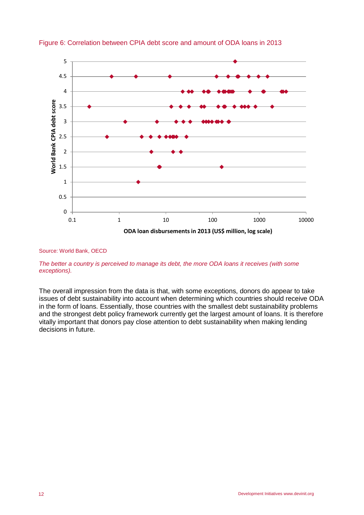

### Figure 6: Correlation between CPIA debt score and amount of ODA loans in 2013

#### Source: World Bank, OECD

*The better a country is perceived to manage its debt, the more ODA loans it receives (with some exceptions).*

The overall impression from the data is that, with some exceptions, donors do appear to take issues of debt sustainability into account when determining which countries should receive ODA in the form of loans. Essentially, those countries with the smallest debt sustainability problems and the strongest debt policy framework currently get the largest amount of loans. It is therefore vitally important that donors pay close attention to debt sustainability when making lending decisions in future.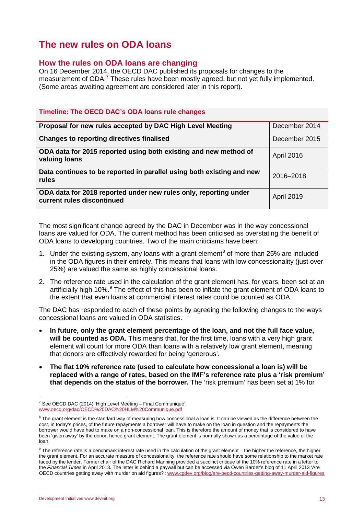# <span id="page-12-0"></span>**The new rules on ODA loans**

# <span id="page-12-1"></span>**How the rules on ODA loans are changing**

On 16 December 2014, the OECD DAC published its proposals for changes to the measurement of ODA.<sup>[7](#page-12-2)</sup> These rules have been mostly agreed, but not yet fully implemented. (Some areas awaiting agreement are considered later in this report).

## **Timeline: The OECD DAC's ODA loans rule changes**

| Proposal for new rules accepted by DAC High Level Meeting                                      | December 2014     |
|------------------------------------------------------------------------------------------------|-------------------|
| <b>Changes to reporting directives finalised</b>                                               | December 2015     |
| ODA data for 2015 reported using both existing and new method of<br>valuing loans              | <b>April 2016</b> |
| Data continues to be reported in parallel using both existing and new<br>rules                 | 2016-2018         |
| ODA data for 2018 reported under new rules only, reporting under<br>current rules discontinued | April 2019        |

The most significant change agreed by the DAC in December was in the way concessional loans are valued for ODA. The current method has been criticised as overstating the benefit of ODA loans to developing countries. Two of the main criticisms have been:

- 1. Under the existing system, any loans with a grant element<sup>[8](#page-12-3)</sup> of more than 25% are included in the ODA figures in their entirety. This means that loans with low concessionality (just over 25%) are valued the same as highly concessional loans.
- 2. The reference rate used in the calculation of the grant element has, for years, been set at an artificially high 10%.<sup>[9](#page-12-4)</sup> The effect of this has been to inflate the grant element of ODA loans to the extent that even loans at commercial interest rates could be counted as ODA.

The DAC has responded to each of these points by agreeing the following changes to the ways concessional loans are valued in ODA statistics.

- **In future, only the grant element percentage of the loan, and not the full face value, will be counted as ODA.** This means that, for the first time, loans with a very high grant element will count for more ODA than loans with a relatively low grant element, meaning that donors are effectively rewarded for being 'generous'.
- **The flat 10% reference rate (used to calculate how concessional a loan is) will be replaced with a range of rates, based on the IMF's reference rate plus a 'risk premium' that depends on the status of the borrower.** The 'risk premium' has been set at 1% for

<span id="page-12-2"></span> $7$  See OECD DAC (2014) 'High Level Meeting – Final Communiqué': [www.oecd.org/dac/OECD%20DAC%20HLM%20Communique.pdf](http://www.oecd.org/dac/OECD%20DAC%20HLM%20Communique.pdf)

<span id="page-12-3"></span> $8$  The grant element is the standard way of measuring how concessional a loan is. It can be viewed as the difference between the cost, in today's prices, of the future repayments a borrower will have to make on the loan in question and the repayments the borrower would have had to make on a non-concessional loan. This is therefore the amount of money that is considered to have been 'given away' by the donor, hence grant element. The grant element is normally shown as a percentage of the value of the loan.

<span id="page-12-4"></span> $9$  The reference rate is a benchmark interest rate used in the calculation of the grant element – the higher the reference, the higher the grant element. For an accurate measure of concessionality, the reference rate should have some relationship to the market rate faced by the lender. Former chair of the DAC Richard Manning provided a succinct critique of the 10% reference rate in a letter to the *Financial Times* in April 2013. The letter is behind a paywall but can be accessed via Owen Barder's blog of 11 April 2013 'Are OECD countries getting away with murder on aid figures?'[: www.cgdev.org/blog/are-oecd-countries-getting-away-murder-aid-figures](http://www.cgdev.org/blog/are-oecd-countries-getting-away-murder-aid-figures)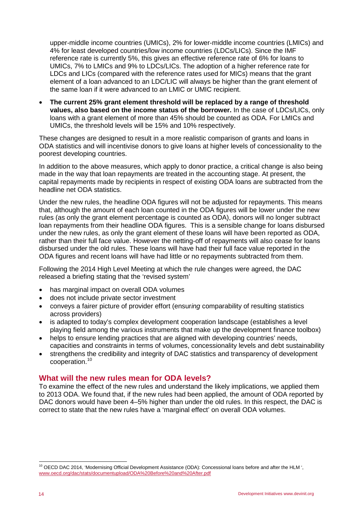upper-middle income countries (UMICs), 2% for lower-middle income countries (LMICs) and 4% for least developed countries/low income countries (LDCs/LICs). Since the IMF reference rate is currently 5%, this gives an effective reference rate of 6% for loans to UMICs, 7% to LMICs and 9% to LDCs/LICs. The adoption of a higher reference rate for LDCs and LICs (compared with the reference rates used for MICs) means that the grant element of a loan advanced to an LDC/LIC will always be higher than the grant element of the same loan if it were advanced to an LMIC or UMIC recipient.

• **The current 25% grant element threshold will be replaced by a range of threshold values, also based on the income status of the borrower.** In the case of LDCs/LICs, only loans with a grant element of more than 45% should be counted as ODA. For LMICs and UMICs, the threshold levels will be 15% and 10% respectively.

These changes are designed to result in a more realistic comparison of grants and loans in ODA statistics and will incentivise donors to give loans at higher levels of concessionality to the poorest developing countries.

In addition to the above measures, which apply to donor practice, a critical change is also being made in the way that loan repayments are treated in the accounting stage. At present, the capital repayments made by recipients in respect of existing ODA loans are subtracted from the headline net ODA statistics.

Under the new rules, the headline ODA figures will not be adjusted for repayments. This means that, although the amount of each loan counted in the ODA figures will be lower under the new rules (as only the grant element percentage is counted as ODA), donors will no longer subtract loan repayments from their headline ODA figures. This is a sensible change for loans disbursed under the new rules, as only the grant element of these loans will have been reported as ODA, rather than their full face value. However the netting-off of repayments will also cease for loans disbursed under the old rules. These loans will have had their full face value reported in the ODA figures and recent loans will have had little or no repayments subtracted from them.

Following the 2014 High Level Meeting at which the rule changes were agreed, the DAC released a briefing stating that the 'revised system'

- has marginal impact on overall ODA volumes
- does not include private sector investment
- conveys a fairer picture of provider effort (ensur*ing* comparability of resulting statistics across providers)
- is adapted to today's complex development cooperation landscape (establishes a level playing field among the various instruments that make up the development finance toolbox)
- helps to ensure lending practices that are aligned with developing countries' needs, capacities and constraints in terms of volumes, concessionality levels and debt sustainability
- strengthens the credibility and integrity of DAC statistics and transparency of development cooperation.[10](#page-13-1)

## <span id="page-13-0"></span>**What will the new rules mean for ODA levels?**

To examine the effect of the new rules and understand the likely implications, we applied them to 2013 ODA. We found that, if the new rules had been applied, the amount of ODA reported by DAC donors would have been 4–5% higher than under the old rules. In this respect, the DAC is correct to state that the new rules have a 'marginal effect' on overall ODA volumes.

<span id="page-13-1"></span> <sup>10</sup> OECD DAC 2014, 'Modernising Official Development Assistance (ODA): Concessional loans before and after the HLM ', [www.oecd.org/dac/stats/documentupload/ODA%20Before%20and%20After.pdf](http://www.oecd.org/dac/stats/documentupload/ODA%20Before%20and%20After.pdf)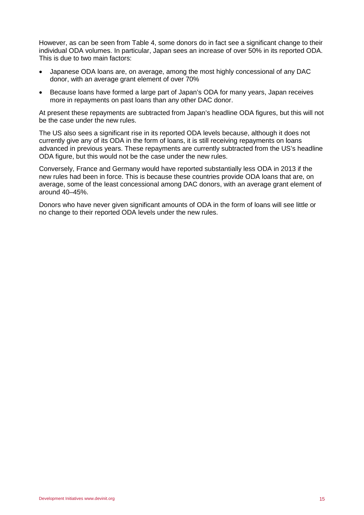However, as can be seen from Table 4, some donors do in fact see a significant change to their individual ODA volumes. In particular, Japan sees an increase of over 50% in its reported ODA. This is due to two main factors:

- Japanese ODA loans are, on average, among the most highly concessional of any DAC donor, with an average grant element of over 70%
- Because loans have formed a large part of Japan's ODA for many years, Japan receives more in repayments on past loans than any other DAC donor.

At present these repayments are subtracted from Japan's headline ODA figures, but this will not be the case under the new rules.

The US also sees a significant rise in its reported ODA levels because, although it does not currently give any of its ODA in the form of loans, it is still receiving repayments on loans advanced in previous years. These repayments are currently subtracted from the US's headline ODA figure, but this would not be the case under the new rules.

Conversely, France and Germany would have reported substantially less ODA in 2013 if the new rules had been in force. This is because these countries provide ODA loans that are, on average, some of the least concessional among DAC donors, with an average grant element of around 40–45%.

Donors who have never given significant amounts of ODA in the form of loans will see little or no change to their reported ODA levels under the new rules.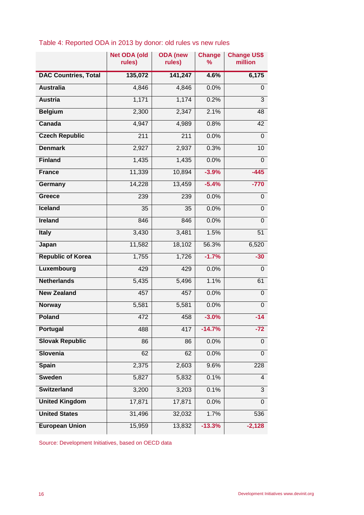|                             | <b>Net ODA (old</b><br>rules) | <b>ODA</b> (new<br>rules) | <b>Change</b><br>℅ | <b>Change US\$</b><br>million |
|-----------------------------|-------------------------------|---------------------------|--------------------|-------------------------------|
| <b>DAC Countries, Total</b> | 135,072                       | 141,247                   | 4.6%               | 6,175                         |
| <b>Australia</b>            | 4,846                         | 4,846                     | 0.0%               | 0                             |
| <b>Austria</b>              | 1,171                         | 1,174                     | 0.2%               | $\mathfrak{B}$                |
| <b>Belgium</b>              | 2,300                         | 2,347                     | 2.1%               | 48                            |
| Canada                      | 4,947                         | 4,989                     | 0.8%               | 42                            |
| <b>Czech Republic</b>       | 211                           | 211                       | 0.0%               | $\mathbf 0$                   |
| <b>Denmark</b>              | 2,927                         | 2,937                     | 0.3%               | 10                            |
| <b>Finland</b>              | 1,435                         | 1,435                     | 0.0%               | 0                             |
| <b>France</b>               | 11,339                        | 10,894                    | $-3.9%$            | $-445$                        |
| Germany                     | 14,228                        | 13,459                    | $-5.4%$            | $-770$                        |
| Greece                      | 239                           | 239                       | 0.0%               | 0                             |
| <b>Iceland</b>              | 35                            | 35                        | 0.0%               | 0                             |
| <b>Ireland</b>              | 846                           | 846                       | 0.0%               | $\mathbf 0$                   |
| <b>Italy</b>                | 3,430                         | 3,481                     | 1.5%               | $\overline{51}$               |
| Japan                       | 11,582                        | 18,102                    | 56.3%              | 6,520                         |
| <b>Republic of Korea</b>    | 1,755                         | 1,726                     | $-1.7%$            | $-30$                         |
| Luxembourg                  | 429                           | 429                       | 0.0%               | 0                             |
| <b>Netherlands</b>          | 5,435                         | 5,496                     | 1.1%               | 61                            |
| <b>New Zealand</b>          | 457                           | 457                       | 0.0%               | 0                             |
| <b>Norway</b>               | 5,581                         | 5,581                     | 0.0%               | 0                             |
| <b>Poland</b>               | 472                           | 458                       | $-3.0%$            | $-14$                         |
| Portugal                    | 488                           | 417                       | $-14.7%$           | -72                           |
| <b>Slovak Republic</b>      | 86                            | 86                        | 0.0%               | 0                             |
| Slovenia                    | 62                            | 62                        | 0.0%               | 0                             |
| <b>Spain</b>                | 2,375                         | 2,603                     | 9.6%               | 228                           |
| <b>Sweden</b>               | 5,827                         | 5,832                     | 0.1%               | 4                             |
| <b>Switzerland</b>          | 3,200                         | 3,203                     | 0.1%               | 3                             |
| <b>United Kingdom</b>       | 17,871                        | 17,871                    | 0.0%               | 0                             |
| <b>United States</b>        | 31,496                        | 32,032                    | 1.7%               | 536                           |
| <b>European Union</b>       | 15,959                        | 13,832                    | $-13.3%$           | $-2,128$                      |

# Table 4: Reported ODA in 2013 by donor: old rules vs new rules

Source: Development Initiatives, based on OECD data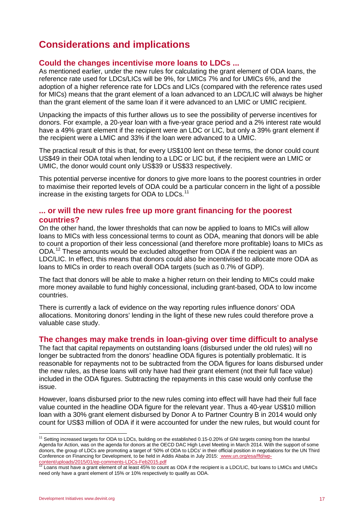# <span id="page-16-0"></span>**Considerations and implications**

# <span id="page-16-1"></span>**Could the changes incentivise more loans to LDCs ...**

As mentioned earlier, under the new rules for calculating the grant element of ODA loans, the reference rate used for LDCs/LICs will be 9%, for LMICs 7% and for UMICs 6%, and the adoption of a higher reference rate for LDCs and LICs (compared with the reference rates used for MICs) means that the grant element of a loan advanced to an LDC/LIC will always be higher than the grant element of the same loan if it were advanced to an LMIC or UMIC recipient.

Unpacking the impacts of this further allows us to see the possibility of perverse incentives for donors. For example, a 20-year loan with a five-year grace period and a 2% interest rate would have a 49% grant element if the recipient were an LDC or LIC, but only a 39% grant element if the recipient were a LMIC and 33% if the loan were advanced to a UMIC.

The practical result of this is that, for every US\$100 lent on these terms, the donor could count US\$49 in their ODA total when lending to a LDC or LIC but, if the recipient were an LMIC or UMIC, the donor would count only US\$39 or US\$33 respectively.

This potential perverse incentive for donors to give more loans to the poorest countries in order to maximise their reported levels of ODA could be a particular concern in the light of a possible increase in the existing targets for ODA to LDCs. $^{\rm 11}$  $^{\rm 11}$  $^{\rm 11}$ 

## <span id="page-16-2"></span>**... or will the new rules free up more grant financing for the poorest countries?**

On the other hand, the lower thresholds that can now be applied to loans to MICs will allow loans to MICs with less concessional terms to count as ODA, meaning that donors will be able to count a proportion of their less concessional (and therefore more profitable) loans to MICs as ODA.<sup>[12](#page-16-5)</sup> These amounts would be excluded altogether from ODA if the recipient was an LDC/LIC. In effect, this means that donors could also be incentivised to allocate more ODA as loans to MICs in order to reach overall ODA targets (such as 0.7% of GDP).

The fact that donors will be able to make a higher return on their lending to MICs could make more money available to fund highly concessional, including grant-based, ODA to low income countries.

There is currently a lack of evidence on the way reporting rules influence donors' ODA allocations. Monitoring donors' lending in the light of these new rules could therefore prove a valuable case study.

## <span id="page-16-3"></span>**The changes may make trends in loan-giving over time difficult to analyse**

The fact that capital repayments on outstanding loans (disbursed under the old rules) will no longer be subtracted from the donors' headline ODA figures is potentially problematic. It is reasonable for repayments not to be subtracted from the ODA figures for loans disbursed under the new rules, as these loans will only have had their grant element (not their full face value) included in the ODA figures. Subtracting the repayments in this case would only confuse the issue.

However, loans disbursed prior to the new rules coming into effect will have had their full face value counted in the headline ODA figure for the relevant year. Thus a 40-year US\$10 million loan with a 30% grant element disbursed by Donor A to Partner Country B in 2014 would only count for US\$3 million of ODA if it were accounted for under the new rules, but would count for

<span id="page-16-4"></span><sup>&</sup>lt;sup>11</sup> Setting increased targets for ODA to LDCs, building on the established 0.15-0.20% of GNI targets coming from the Istanbul Agenda for Action, was on the agenda for donors at the OECD DAC High Level Meeting in March 2014. With the support of some donors, the group of LDCs are promoting a target of '50% of ODA to LDCs' in their official position in negotiations for the UN Third Conference on Financing for Development, to be held in Addis Ababa in July 2015: [www.un.org/esa/ffd/wp-](http://www.un.org/esa/ffd/wp-content/uploads/2015/01/ep-comments-LDCs-Feb2015.pdf)

<span id="page-16-5"></span>[content/uploads/2015/01/ep-comments-LDCs-Feb2015.pdf](http://www.un.org/esa/ffd/wp-content/uploads/2015/01/ep-comments-LDCs-Feb2015.pdf)<br><sup>12</sup> Loans must have a grant element of at least 45% to count as ODA if the recipient is a LDC/LIC, but loans to LMICs and UMICs need only have a grant element of 15% or 10% respectively to qualify as ODA.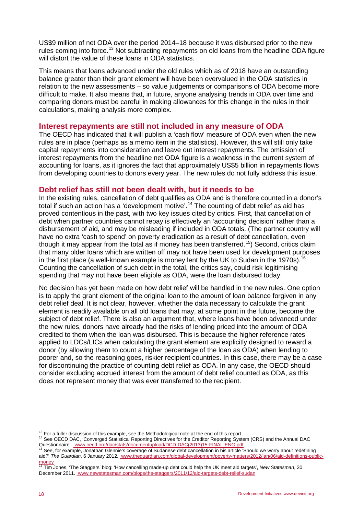US\$9 million of net ODA over the period 2014–18 because it was disbursed prior to the new rules coming into force.<sup>[13](#page-17-2)</sup> Not subtracting repayments on old loans from the headline ODA figure will distort the value of these loans in ODA statistics.

This means that loans advanced under the old rules which as of 2018 have an outstanding balance greater than their grant element will have been overvalued in the ODA statistics in relation to the new assessments – so value judgements or comparisons of ODA become more difficult to make. It also means that, in future, anyone analysing trends in ODA over time and comparing donors must be careful in making allowances for this change in the rules in their calculations, making analysis more complex.

## <span id="page-17-0"></span>**Interest repayments are still not included in any measure of ODA**

The OECD has indicated that it will publish a 'cash flow' measure of ODA even when the new rules are in place (perhaps as a memo item in the statistics). However, this will still only take capital repayments into consideration and leave out interest repayments. The omission of interest repayments from the headline net ODA figure is a weakness in the current system of accounting for loans, as it ignores the fact that approximately US\$5 billion in repayments flows from developing countries to donors every year. The new rules do not fully address this issue.

## <span id="page-17-1"></span>**Debt relief has still not been dealt with, but it needs to be**

In the existing rules, cancellation of debt qualifies as ODA and is therefore counted in a donor's total if such an action has a 'development motive'.[14](#page-17-3) The counting of debt relief as aid has proved contentious in the past, with two key issues cited by critics. First, that cancellation of debt when partner countries cannot repay is effectively an 'accounting decision' rather than a disbursement of aid, and may be misleading if included in ODA totals. (The partner country will have no extra 'cash to spend' on poverty eradication as a result of debt cancellation, even though it may appear from the total as if money has been transferred.<sup>15</sup>) Second, critics claim that many older loans which are written off may not have been used for development purposes in the first place (a well-known example is money lent by the UK to Sudan in the 1970s).  $^{16}$  $^{16}$  $^{16}$ Counting the cancellation of such debt in the total, the critics say, could risk legitimising spending that may not have been eligible as ODA, were the loan disbursed today.

No decision has yet been made on how debt relief will be handled in the new rules. One option is to apply the grant element of the original loan to the amount of loan balance forgiven in any debt relief deal. It is not clear, however, whether the data necessary to calculate the grant element is readily available on all old loans that may, at some point in the future, become the subject of debt relief. There is also an argument that, where loans have been advanced under the new rules, donors have already had the risks of lending priced into the amount of ODA credited to them when the loan was disbursed. This is because the higher reference rates applied to LDCs/LICs when calculating the grant element are explicitly designed to reward a donor (by allowing them to count a higher percentage of the loan as ODA) when lending to poorer and, so the reasoning goes, riskier recipient countries. In this case, there may be a case for discontinuing the practice of counting debt relief as ODA. In any case, the OECD should consider excluding accrued interest from the amount of debt relief counted as ODA, as this does not represent money that was ever transferred to the recipient.

<span id="page-17-3"></span><span id="page-17-2"></span><sup>&</sup>lt;sup>13</sup> For a fuller discussion of this example, see the Methodological note at the end of this report.<br><sup>14</sup> See OECD DAC, 'Converged Statistical Reporting Directives for the Creditor Reporting System (CRS) and the Annual DAC

<span id="page-17-4"></span>See, for example, Jonathan Glennie's coverage of Sudanese debt cancellation in his article 'Should we worry about redefining aid?' *The Guardian*, 6 January 2012. [www.theguardian.com/global-development/poverty-matters/2012/jan/06/aid-definitions-public-](http://www.theguardian.com/global-development/poverty-matters/2012/jan/06/aid-definitions-public-money)

<span id="page-17-5"></span>[money](http://www.theguardian.com/global-development/poverty-matters/2012/jan/06/aid-definitions-public-money) <sup>16</sup> Tim Jones, 'The Staggers' blog: 'How cancelling made-up debt could help the UK meet aid targets', *New Statesman*, 30 December 2011[. www.newstatesman.com/blogs/the-staggers/2011/12/aid-targets-debt-relief-sudan](http://www.newstatesman.com/blogs/the-staggers/2011/12/aid-targets-debt-relief-sudan)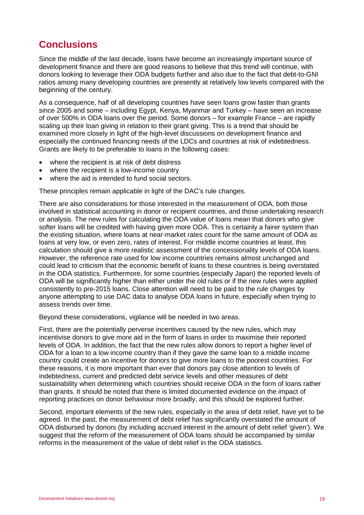# <span id="page-18-0"></span>**Conclusions**

Since the middle of the last decade, loans have become an increasingly important source of development finance and there are good reasons to believe that this trend will continue, with donors looking to leverage their ODA budgets further and also due to the fact that debt-to-GNI ratios among many developing countries are presently at relatively low levels compared with the beginning of the century.

As a consequence, half of all developing countries have seen loans grow faster than grants since 2005 and some – including Egypt, Kenya, Myanmar and Turkey – have seen an increase of over 500% in ODA loans over the period. Some donors – for example France – are rapidly scaling up their loan giving in relation to their grant giving. This is a trend that should be examined more closely in light of the high-level discussions on development finance and especially the continued financing needs of the LDCs and countries at risk of indebtedness. Grants are likely to be preferable to loans in the following cases:

- where the recipient is at risk of debt distress
- where the recipient is a low-income country
- where the aid is intended to fund social sectors.

These principles remain applicable in light of the DAC's rule changes.

There are also considerations for those interested in the measurement of ODA, both those involved in statistical accounting in donor or recipient countries, and those undertaking research or analysis. The new rules for calculating the ODA value of loans mean that donors who give softer loans will be credited with having given more ODA. This is certainly a fairer system than the existing situation, where loans at near-market rates count for the same amount of ODA as loans at very low, or even zero, rates of interest. For middle income countries at least, this calculation should give a more realistic assessment of the concessionality levels of ODA loans. However, the reference rate used for low income countries remains almost unchanged and could lead to criticism that the economic benefit of loans to these countries is being overstated in the ODA statistics. Furthermore, for some countries (especially Japan) the reported levels of ODA will be significantly higher than either under the old rules or if the new rules were applied consistently to pre-2015 loans. Close attention will need to be paid to the rule changes by anyone attempting to use DAC data to analyse ODA loans in future, especially when trying to assess trends over time.

Beyond these considerations, vigilance will be needed in two areas.

First, there are the potentially perverse incentives caused by the new rules, which may incentivise donors to give more aid in the form of loans in order to maximise their reported levels of ODA. In addition, the fact that the new rules allow donors to report a higher level of ODA for a loan to a low income country than if they gave the same loan to a middle income country could create an incentive for donors to give more loans to the poorest countries. For these reasons, it is more important than ever that donors pay close attention to levels of indebtedness, current and predicted debt service levels and other measures of debt sustainability when determining which countries should receive ODA in the form of loans rather than grants. It should be noted that there is limited documented evidence on the impact of reporting practices on donor behaviour more broadly, and this should be explored further.

Second, important elements of the new rules, especially in the area of debt relief, have yet to be agreed. In the past, the measurement of debt relief has significantly overstated the amount of ODA disbursed by donors (by including accrued interest in the amount of debt relief 'given'). We suggest that the reform of the measurement of ODA loans should be accompanied by similar reforms in the measurement of the value of debt relief in the ODA statistics.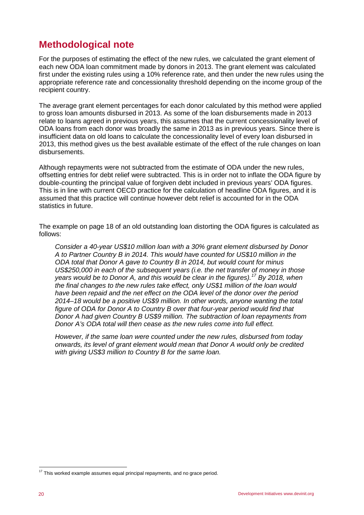# <span id="page-19-0"></span>**Methodological note**

For the purposes of estimating the effect of the new rules, we calculated the grant element of each new ODA loan commitment made by donors in 2013. The grant element was calculated first under the existing rules using a 10% reference rate, and then under the new rules using the appropriate reference rate and concessionality threshold depending on the income group of the recipient country.

The average grant element percentages for each donor calculated by this method were applied to gross loan amounts disbursed in 2013. As some of the loan disbursements made in 2013 relate to loans agreed in previous years, this assumes that the current concessionality level of ODA loans from each donor was broadly the same in 2013 as in previous years. Since there is insufficient data on old loans to calculate the concessionality level of every loan disbursed in 2013, this method gives us the best available estimate of the effect of the rule changes on loan disbursements.

Although repayments were not subtracted from the estimate of ODA under the new rules, offsetting entries for debt relief were subtracted. This is in order not to inflate the ODA figure by double-counting the principal value of forgiven debt included in previous years' ODA figures. This is in line with current OECD practice for the calculation of headline ODA figures, and it is assumed that this practice will continue however debt relief is accounted for in the ODA statistics in future.

The example on page 18 of an old outstanding loan distorting the ODA figures is calculated as follows:

*Consider a 40-year US\$10 million loan with a 30% grant element disbursed by Donor A to Partner Country B in 2014. This would have counted for US\$10 million in the ODA total that Donor A gave to Country B in 2014, but would count for minus US\$250,000 in each of the subsequent years (i.e. the net transfer of money in those years would be to Donor A, and this would be clear in the figures).[17](#page-19-1) By 2018, when the final changes to the new rules take effect, only US\$1 million of the loan would have been repaid and the net effect on the ODA level of the donor over the period 2014–18 would be a positive US\$9 million. In other words, anyone wanting the total figure of ODA for Donor A to Country B over that four-year period would find that Donor A had given Country B US\$9 million. The subtraction of loan repayments from Donor A's ODA total will then cease as the new rules come into full effect.*

*However, if the same loan were counted under the new rules, disbursed from today onwards, its level of grant element would mean that Donor A would only be credited with giving US\$3 million to Country B for the same loan.*

<span id="page-19-1"></span> $17$  This worked example assumes equal principal repayments, and no grace period.